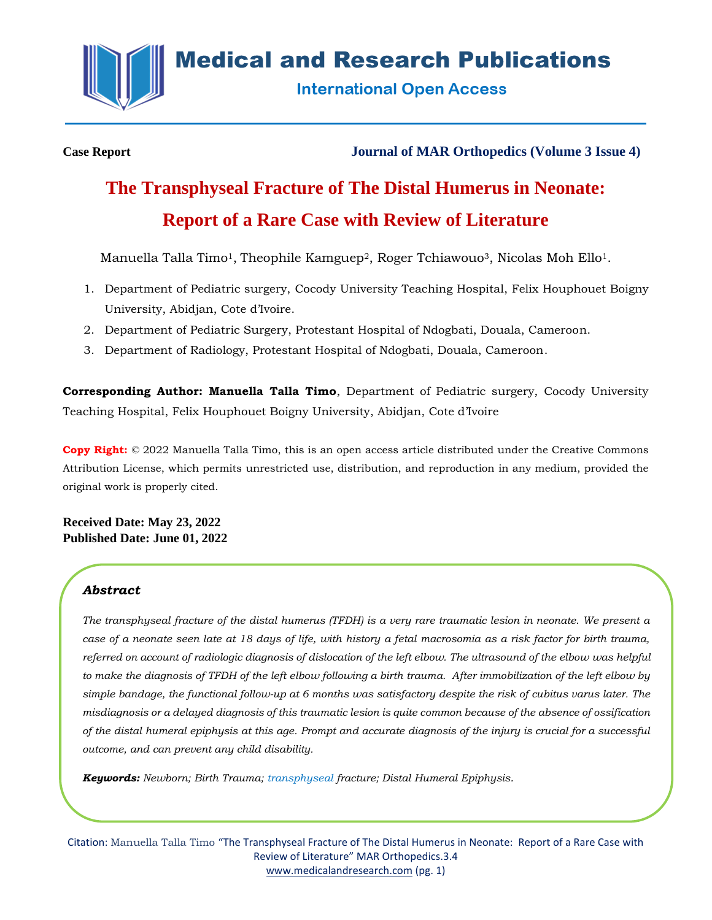

**Medical and Research Publications** 

**International Open Access** 

**Case Report Journal of MAR Orthopedics (Volume 3 Issue 4)**

# **The Transphyseal Fracture of The Distal Humerus in Neonate: Report of a Rare Case with Review of Literature**

Manuella Talla Timo<sup>1</sup>, Theophile Kamguep<sup>2</sup>, Roger Tchiawouo<sup>3</sup>, Nicolas Moh Ello<sup>1</sup>.

- 1. Department of Pediatric surgery, Cocody University Teaching Hospital, Felix Houphouet Boigny University, Abidjan, Cote d'Ivoire.
- 2. Department of Pediatric Surgery, Protestant Hospital of Ndogbati, Douala, Cameroon.
- 3. Department of Radiology, Protestant Hospital of Ndogbati, Douala, Cameroon.

**Corresponding Author: Manuella Talla Timo**, Department of Pediatric surgery, Cocody University Teaching Hospital, Felix Houphouet Boigny University, Abidjan, Cote d'Ivoire

**Copy Right:** © 2022 Manuella Talla Timo, this is an open access article distributed under the Creative Commons Attribution License, which permits unrestricted use, distribution, and reproduction in any medium, provided the original work is properly cited.

**Received Date: May 23, 2022 Published Date: June 01, 2022**

# *Abstract*

*The transphyseal fracture of the distal humerus (TFDH) is a very rare traumatic lesion in neonate. We present a case of a neonate seen late at 18 days of life, with history a fetal macrosomia as a risk factor for birth trauma, referred on account of radiologic diagnosis of dislocation of the left elbow. The ultrasound of the elbow was helpful to make the diagnosis of TFDH of the left elbow following a birth trauma. After immobilization of the left elbow by simple bandage, the functional follow-up at 6 months was satisfactory despite the risk of cubitus varus later. The misdiagnosis or a delayed diagnosis of this traumatic lesion is quite common because of the absence of ossification of the distal humeral epiphysis at this age. Prompt and accurate diagnosis of the injury is crucial for a successful outcome, and can prevent any child disability.*

*Keywords: Newborn; Birth Trauma; transphyseal fracture; Distal Humeral Epiphysis.*

Citation: Manuella Talla Timo "The Transphyseal Fracture of The Distal Humerus in Neonate: Report of a Rare Case with Review of Literature" MAR Orthopedics.3.4 [www.medicalandresearch.com](http://www.medicalandresearch.com/) (pg. 1)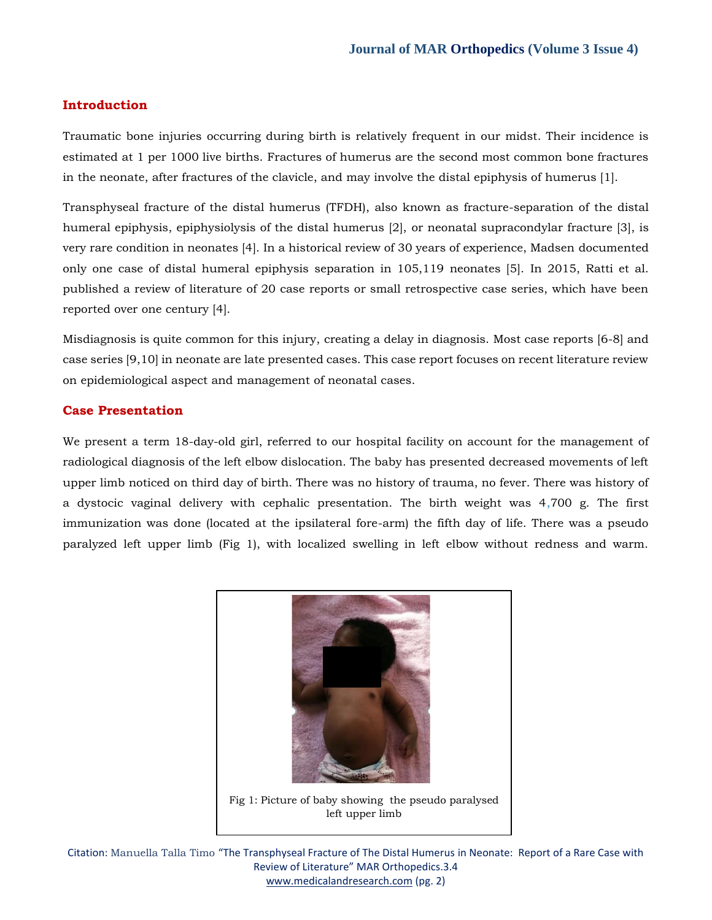## **Introduction**

Traumatic bone injuries occurring during birth is relatively frequent in our midst. Their incidence is estimated at 1 per 1000 live births. Fractures of humerus are the second most common bone fractures in the neonate, after fractures of the clavicle, and may involve the distal epiphysis of humerus [1].

Transphyseal fracture of the distal humerus (TFDH), also known as fracture-separation of the distal humeral epiphysis, epiphysiolysis of the distal humerus [2], or neonatal supracondylar fracture [3], is very rare condition in neonates [4]. In a historical review of 30 years of experience, Madsen documented only one case of distal humeral epiphysis separation in 105,119 neonates [5]. In 2015, Ratti et al. published a review of literature of 20 case reports or small retrospective case series, which have been reported over one century [4].

Misdiagnosis is quite common for this injury, creating a delay in diagnosis. Most case reports [6-8] and case series [9,10] in neonate are late presented cases. This case report focuses on recent literature review on epidemiological aspect and management of neonatal cases.

## **Case Presentation**

We present a term 18-day-old girl, referred to our hospital facility on account for the management of radiological diagnosis of the left elbow dislocation. The baby has presented decreased movements of left upper limb noticed on third day of birth. There was no history of trauma, no fever. There was history of a dystocic vaginal delivery with cephalic presentation. The birth weight was 4,700 g. The first immunization was done (located at the ipsilateral fore-arm) the fifth day of life. There was a pseudo paralyzed left upper limb (Fig 1), with localized swelling in left elbow without redness and warm.



Citation: Manuella Talla Timo "The Transphyseal Fracture of The Distal Humerus in Neonate: Report of a Rare Case with Review of Literature" MAR Orthopedics.3.4 [www.medicalandresearch.com](http://www.medicalandresearch.com/) (pg. 2)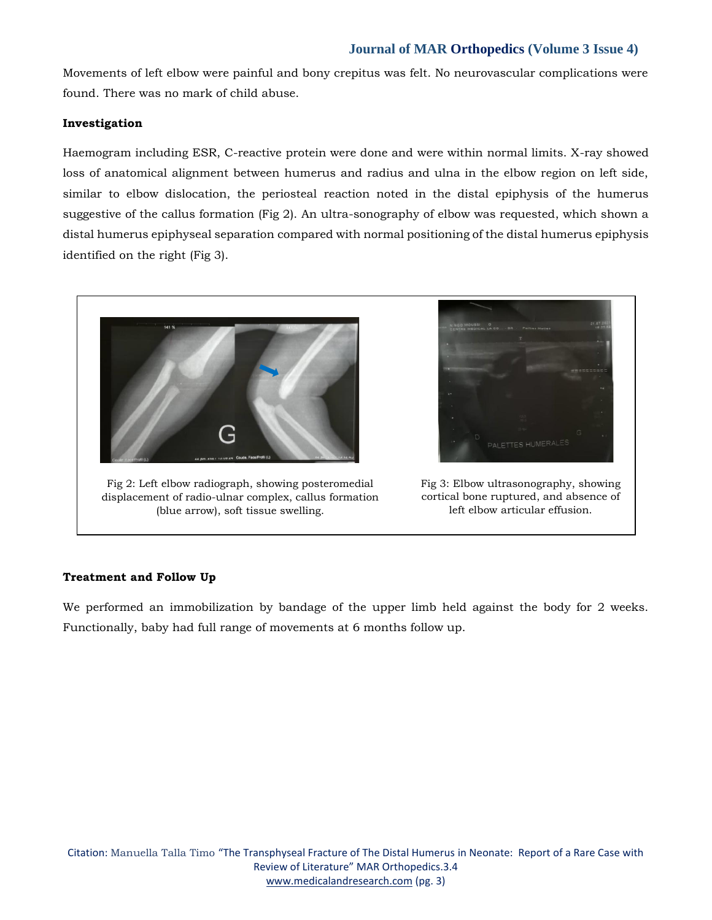Movements of left elbow were painful and bony crepitus was felt. No neurovascular complications were found. There was no mark of child abuse.

#### **Investigation**

Haemogram including ESR, C-reactive protein were done and were within normal limits. X-ray showed loss of anatomical alignment between humerus and radius and ulna in the elbow region on left side, similar to elbow dislocation, the periosteal reaction noted in the distal epiphysis of the humerus suggestive of the callus formation (Fig 2). An ultra-sonography of elbow was requested, which shown a distal humerus epiphyseal separation compared with normal positioning of the distal humerus epiphysis identified on the right (Fig 3).



Fig 2: Left elbow radiograph, showing posteromedial displacement of radio-ulnar complex, callus formation (blue arrow), soft tissue swelling.



Fig 3: Elbow ultrasonography, showing cortical bone ruptured, and absence of left elbow articular effusion.

## **Treatment and Follow Up**

We performed an immobilization by bandage of the upper limb held against the body for 2 weeks. Functionally, baby had full range of movements at 6 months follow up.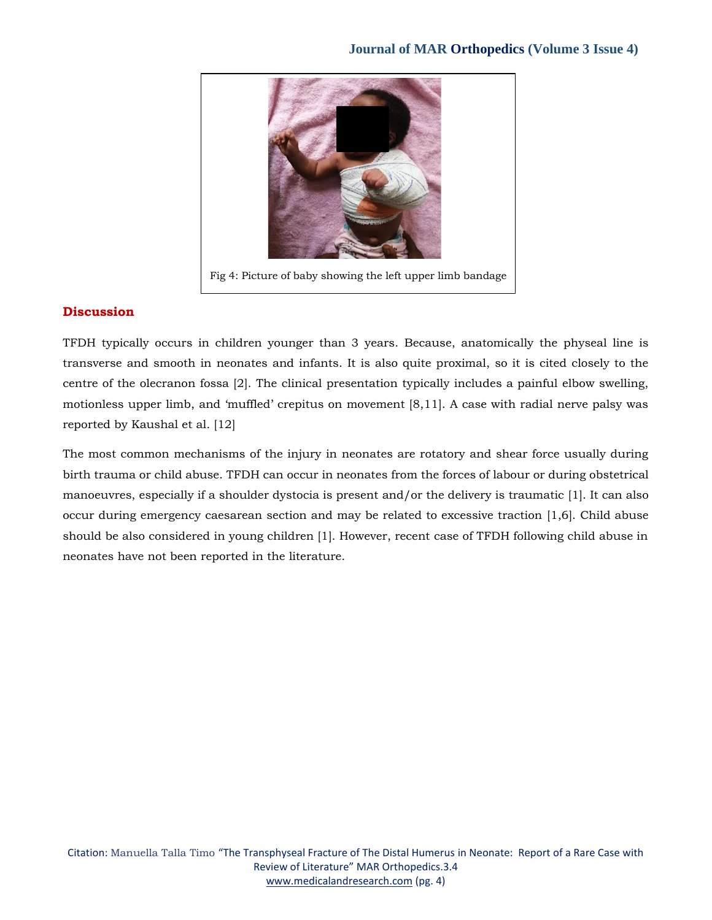

## **Discussion**

TFDH typically occurs in children younger than 3 years. Because, anatomically the physeal line is transverse and smooth in neonates and infants. It is also quite proximal, so it is cited closely to the centre of the olecranon fossa [2]. The clinical presentation typically includes a painful elbow swelling, motionless upper limb, and 'muffled' crepitus on movement [8,11]. A case with radial nerve palsy was reported by Kaushal et al. [12]

The most common mechanisms of the injury in neonates are rotatory and shear force usually during birth trauma or child abuse. TFDH can occur in neonates from the forces of labour or during obstetrical manoeuvres, especially if a shoulder dystocia is present and/or the delivery is traumatic [1]. It can also occur during emergency caesarean section and may be related to excessive traction [1,6]. Child abuse should be also considered in young children [1]. However, recent case of TFDH following child abuse in neonates have not been reported in the literature.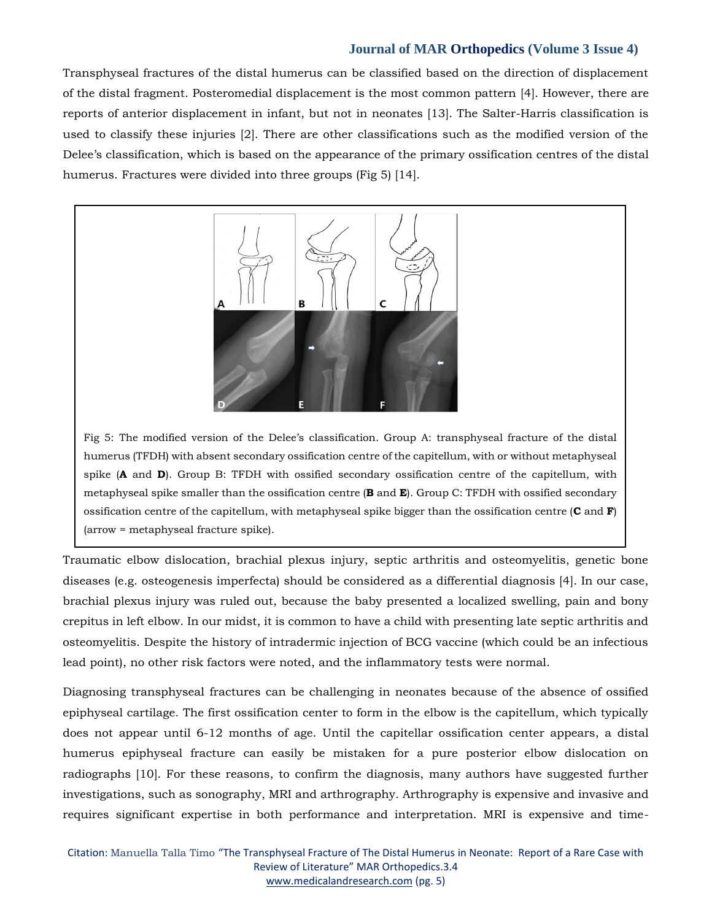Transphyseal fractures of the distal humerus can be classified based on the direction of displacement of the distal fragment. Posteromedial displacement is the most common pattern [4]. However, there are reports of anterior displacement in infant, but not in neonates [13]. The Salter-Harris classification is used to classify these injuries [2]. There are other classifications such as the modified version of the Delee's classification, which is based on the appearance of the primary ossification centres of the distal humerus. Fractures were divided into three groups (Fig 5) [14].



Fig 5: The modified version of the Delee's classification. Group A: transphyseal fracture of the distal humerus (TFDH) with absent secondary ossification centre of the capitellum, with or without metaphyseal spike (**A** and **D**). Group B: TFDH with ossified secondary ossification centre of the capitellum, with metaphyseal spike smaller than the ossification centre (**B** and **E**). Group C: TFDH with ossified secondary ossification centre of the capitellum, with metaphyseal spike bigger than the ossification centre (**C** and **F**) (arrow = metaphyseal fracture spike).

Traumatic elbow dislocation, brachial plexus injury, septic arthritis and osteomyelitis, genetic bone diseases (e.g. osteogenesis imperfecta) should be considered as a differential diagnosis [4]. In our case, brachial plexus injury was ruled out, because the baby presented a localized swelling, pain and bony crepitus in left elbow. In our midst, it is common to have a child with presenting late septic arthritis and osteomyelitis. Despite the history of intradermic injection of BCG vaccine (which could be an infectious lead point), no other risk factors were noted, and the inflammatory tests were normal.

Diagnosing transphyseal fractures can be challenging in neonates because of the absence of ossified epiphyseal cartilage. The first ossification center to form in the elbow is the capitellum, which typically does not appear until 6-12 months of age. Until the capitellar ossification center appears, a distal humerus epiphyseal fracture can easily be mistaken for a pure posterior elbow dislocation on radiographs [10]. For these reasons, to confirm the diagnosis, many authors have suggested further investigations, such as sonography, MRI and arthrography. Arthrography is expensive and invasive and requires significant expertise in both performance and interpretation. MRI is expensive and time-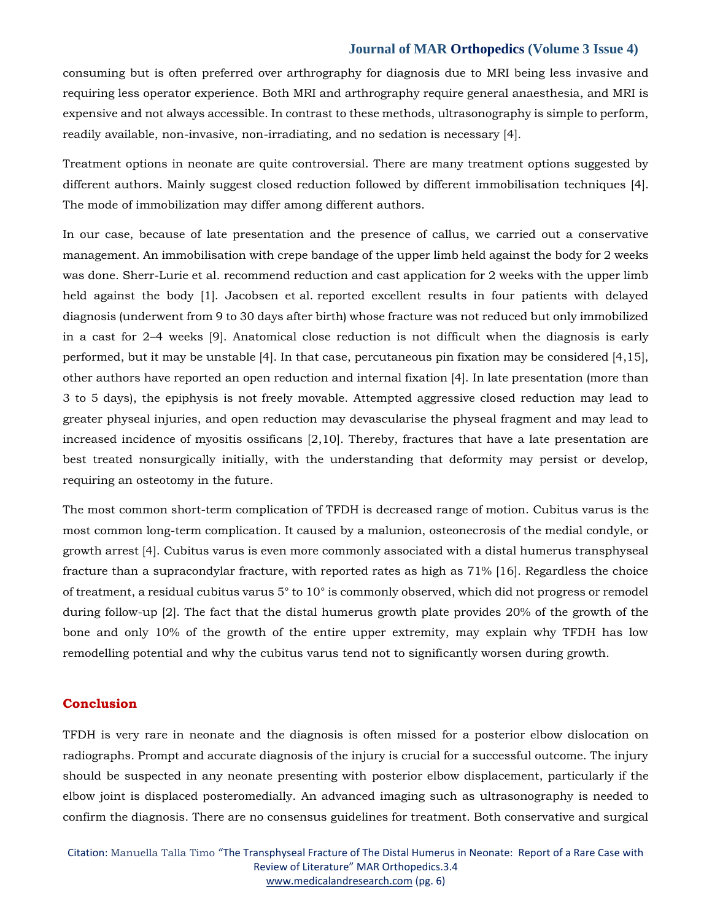consuming but is often preferred over arthrography for diagnosis due to MRI being less invasive and requiring less operator experience. Both MRI and arthrography require general anaesthesia, and MRI is expensive and not always accessible. In contrast to these methods, ultrasonography is simple to perform, readily available, non-invasive, non-irradiating, and no sedation is necessary [4].

Treatment options in neonate are quite controversial. There are many treatment options suggested by different authors. Mainly suggest closed reduction followed by different immobilisation techniques [4]. The mode of immobilization may differ among different authors.

In our case, because of late presentation and the presence of callus, we carried out a conservative management. An immobilisation with crepe bandage of the upper limb held against the body for 2 weeks was done. Sherr-Lurie et al. recommend reduction and cast application for 2 weeks with the upper limb held against the body [1]. Jacobsen et al. reported excellent results in four patients with delayed diagnosis (underwent from 9 to 30 days after birth) whose fracture was not reduced but only immobilized in a cast for 2–4 weeks [9]. Anatomical close reduction is not difficult when the diagnosis is early performed, but it may be unstable [4]. In that case, percutaneous pin fixation may be considered [4,15], other authors have reported an open reduction and internal fixation [4]. In late presentation (more than 3 to 5 days), the epiphysis is not freely movable. Attempted aggressive closed reduction may lead to greater physeal injuries, and open reduction may devascularise the physeal fragment and may lead to increased incidence of myositis ossificans [2,10]. Thereby, fractures that have a late presentation are best treated nonsurgically initially, with the understanding that deformity may persist or develop, requiring an osteotomy in the future.

The most common short-term complication of TFDH is decreased range of motion. Cubitus varus is the most common long-term complication. It caused by a malunion, osteonecrosis of the medial condyle, or growth arrest [4]. Cubitus varus is even more commonly associated with a distal humerus transphyseal fracture than a supracondylar fracture, with reported rates as high as 71% [16]. Regardless the choice of treatment, a residual cubitus varus 5° to 10° is commonly observed, which did not progress or remodel during follow-up [2]. The fact that the distal humerus growth plate provides 20% of the growth of the bone and only 10% of the growth of the entire upper extremity, may explain why TFDH has low remodelling potential and why the cubitus varus tend not to significantly worsen during growth.

#### **Conclusion**

TFDH is very rare in neonate and the diagnosis is often missed for a posterior elbow dislocation on radiographs. Prompt and accurate diagnosis of the injury is crucial for a successful outcome. The injury should be suspected in any neonate presenting with posterior elbow displacement, particularly if the elbow joint is displaced posteromedially. An advanced imaging such as ultrasonography is needed to confirm the diagnosis. There are no consensus guidelines for treatment. Both conservative and surgical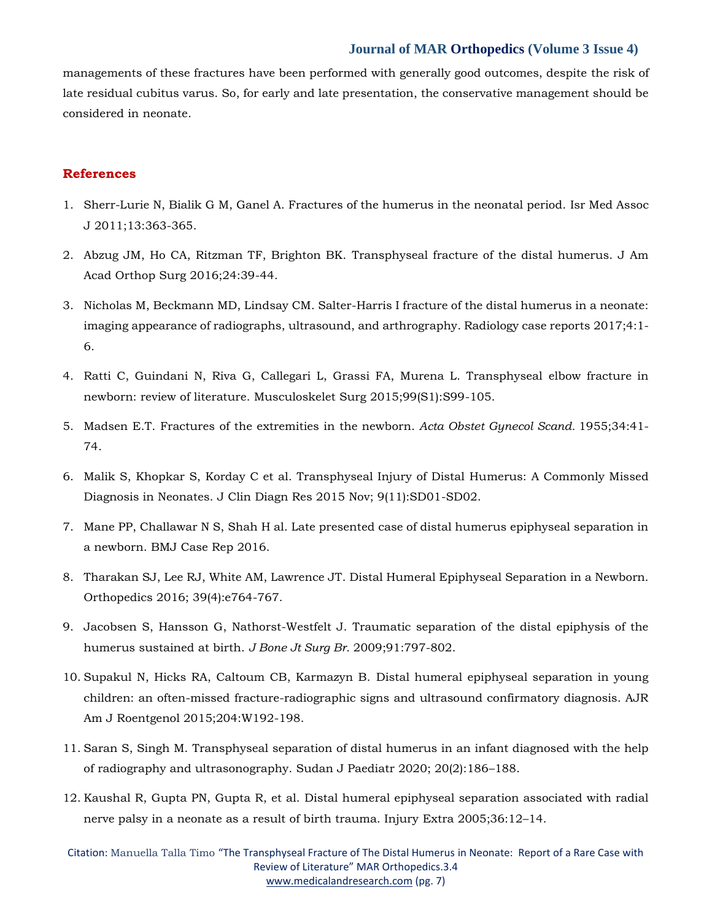managements of these fractures have been performed with generally good outcomes, despite the risk of late residual cubitus varus. So, for early and late presentation, the conservative management should be considered in neonate.

#### **References**

- 1. Sherr-Lurie N, Bialik G M, Ganel A. Fractures of the humerus in the neonatal period. Isr Med Assoc J 2011;13:363-365.
- 2. Abzug JM, Ho CA, Ritzman TF, Brighton BK. Transphyseal fracture of the distal humerus. J Am Acad Orthop Surg 2016;24:39-44.
- 3. Nicholas M, Beckmann MD, Lindsay CM. Salter-Harris I fracture of the distal humerus in a neonate: imaging appearance of radiographs, ultrasound, and arthrography. Radiology case reports 2017;4:1- 6.
- 4. Ratti C, Guindani N, Riva G, Callegari L, Grassi FA, Murena L. Transphyseal elbow fracture in newborn: review of literature. Musculoskelet Surg 2015;99(S1):S99-105.
- 5. Madsen E.T. Fractures of the extremities in the newborn. *Acta Obstet Gynecol Scand.* 1955;34:41- 74.
- 6. Malik S, Khopkar S, Korday C et al. Transphyseal Injury of Distal Humerus: A Commonly Missed Diagnosis in Neonates. J Clin Diagn Res 2015 Nov; 9(11):SD01-SD02.
- 7. Mane PP, Challawar N S, Shah H al. Late presented case of distal humerus epiphyseal separation in a newborn. BMJ Case Rep 2016.
- 8. Tharakan SJ, Lee RJ, White AM, Lawrence JT. Distal Humeral Epiphyseal Separation in a Newborn. Orthopedics 2016; 39(4):e764-767.
- 9. Jacobsen S, Hansson G, Nathorst-Westfelt J. Traumatic separation of the distal epiphysis of the humerus sustained at birth. *J Bone Jt Surg Br.* 2009;91:797-802.
- 10. Supakul N, Hicks RA, Caltoum CB, Karmazyn B. Distal humeral epiphyseal separation in young children: an often-missed fracture-radiographic signs and ultrasound confirmatory diagnosis. AJR Am J Roentgenol 2015;204:W192-198.
- 11. Saran S, Singh M. Transphyseal separation of distal humerus in an infant diagnosed with the help of radiography and ultrasonography. Sudan J Paediatr 2020; 20(2):186–188.
- 12. Kaushal R, Gupta PN, Gupta R, et al. Distal humeral epiphyseal separation associated with radial nerve palsy in a neonate as a result of birth trauma. Injury Extra 2005;36:12–14.